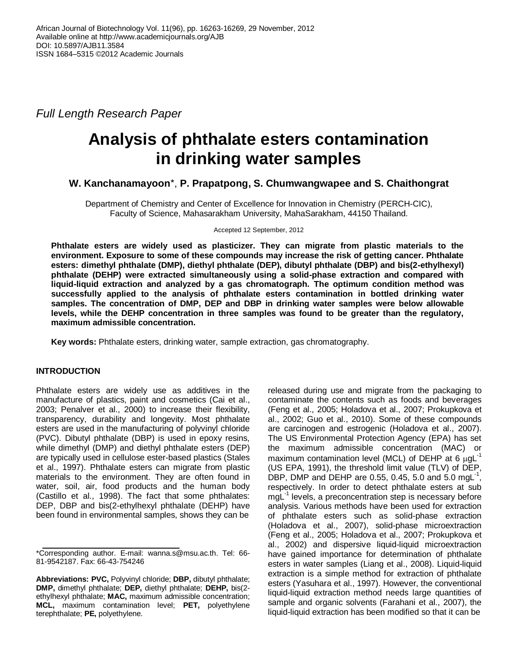*Full Length Research Paper*

# **Analysis of phthalate esters contamination in drinking water samples**

## **W. Kanchanamayoon**\*, **P. Prapatpong, S. Chumwangwapee and S. Chaithongrat**

Department of Chemistry and Center of Excellence for Innovation in Chemistry (PERCH-CIC), Faculty of Science, Mahasarakham University, MahaSarakham, 44150 Thailand.

Accepted 12 September, 2012

**Phthalate esters are widely used as plasticizer. They can migrate from plastic materials to the environment. Exposure to some of these compounds may increase the risk of getting cancer. Phthalate esters: dimethyl phthalate (DMP), diethyl phthalate (DEP), dibutyl phthalate (DBP) and bis(2-ethylhexyl) phthalate (DEHP) were extracted simultaneously using a solid-phase extraction and compared with liquid-liquid extraction and analyzed by a gas chromatograph. The optimum condition method was successfully applied to the analysis of phthalate esters contamination in bottled drinking water samples. The concentration of DMP, DEP and DBP in drinking water samples were below allowable levels, while the DEHP concentration in three samples was found to be greater than the regulatory, maximum admissible concentration.**

**Key words:** Phthalate esters, drinking water, sample extraction, gas chromatography.

## **INTRODUCTION**

Phthalate esters are widely use as additives in the manufacture of plastics, paint and cosmetics (Cai et al., 2003; Penalver et al., 2000) to increase their flexibility, transparency, durability and longevity. Most phthalate esters are used in the manufacturing of polyvinyl chloride (PVC). Dibutyl phthalate (DBP) is used in epoxy resins, while dimethyl (DMP) and diethyl phthalate esters (DEP) are typically used in cellulose ester-based plastics (Stales et al., 1997). Phthalate esters can migrate from plastic materials to the environment. They are often found in water, soil, air, food products and the human body (Castillo et al., 1998). The fact that some phthalates: DEP, DBP and bis(2-ethylhexyl phthalate (DEHP) have been found in environmental samples, shows they can be

released during use and migrate from the packaging to contaminate the contents such as foods and beverages (Feng et al., 2005; Holadova et al., 2007; Prokupkova et al., 2002; Guo et al., 2010). Some of these compounds are carcinogen and estrogenic (Holadova et al., 2007). The US Environmental Protection Agency (EPA) has set the maximum admissible concentration (MAC) or maximum contamination level (MCL) of DEHP at 6  $\mu$ gL<sup>-1</sup> (US EPA, 1991), the threshold limit value (TLV) of DEP, DBP, DMP and DEHP are 0.55, 0.45, 5.0 and 5.0 mgL<sup>-1</sup>, respectively. In order to detect phthalate esters at sub mgL-1 levels, a preconcentration step is necessary before analysis. Various methods have been used for extraction of phthalate esters such as solid-phase extraction (Holadova et al., 2007), solid-phase microextraction (Feng et al., 2005; Holadova et al., 2007; Prokupkova et al., 2002) and dispersive liquid-liquid microextraction have gained importance for determination of phthalate esters in water samples (Liang et al., 2008). Liquid-liquid extraction is a simple method for extraction of phthalate esters (Yasuhara et al., 1997). However, the conventional liquid-liquid extraction method needs large quantities of sample and organic solvents (Farahani et al., 2007), the liquid-liquid extraction has been modified so that it can be

<sup>\*</sup>Corresponding author. E-mail: wanna.s@msu.ac.th. Tel: 66- 81-9542187. Fax: 66-43-754246

**Abbreviations: PVC,** Polyvinyl chloride; **DBP,** dibutyl phthalate; **DMP,** dimethyl phthalate; **DEP,** diethyl phthalate; **DEHP,** bis(2 ethylhexyl phthalate; **MAC,** maximum admissible concentration; **MCL,** maximum contamination level; **PET,** polyethylene terephthalate; **PE,** polyethylene.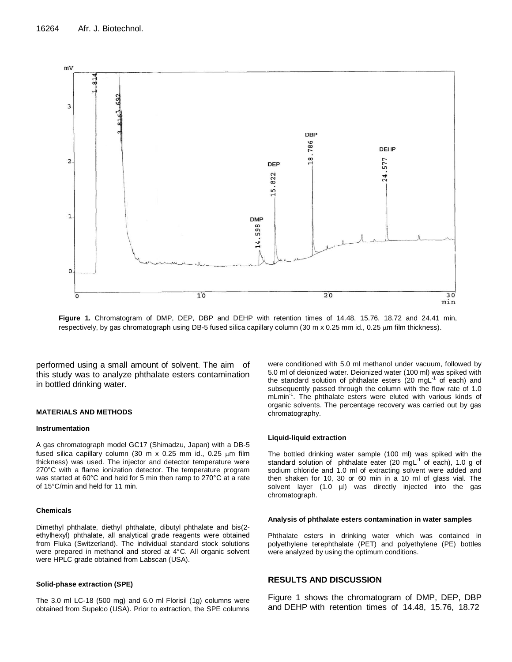

**Figure 1.** Chromatogram of DMP, DEP, DBP and DEHP with retention times of 14.48, 15.76, 18.72 and 24.41 min, respectively, by gas chromatograph using DB-5 fused silica capillary column (30 m x 0.25 mm id., 0.25  $\mu$ m film thickness).

performed using a small amount of solvent. The aim of this study was to analyze phthalate esters contamination in bottled drinking water.

#### **MATERIALS AND METHODS**

#### **Instrumentation**

A gas chromatograph model GC17 (Shimadzu, Japan) with a DB-5 fused silica capillary column (30 m  $x$  0.25 mm id., 0.25  $\mu$ m film thickness) was used. The injector and detector temperature were 270°C with a flame ionization detector. The temperature program was started at 60°C and held for 5 min then ramp to 270°C at a rate of 15°C/min and held for 11 min.

#### **Chemicals**

Dimethyl phthalate, diethyl phthalate, dibutyl phthalate and bis(2 ethylhexyl) phthalate, all analytical grade reagents were obtained from Fluka (Switzerland). The individual standard stock solutions were prepared in methanol and stored at 4°C. All organic solvent were HPLC grade obtained from Labscan (USA).

#### **Solid-phase extraction (SPE)**

The 3.0 ml LC-18 (500 mg) and 6.0 ml Florisil (1g) columns were obtained from Supelco (USA). Prior to extraction, the SPE columns

were conditioned with 5.0 ml methanol under vacuum, followed by 5.0 ml of deionized water. Deionized water (100 ml) was spiked with the standard solution of phthalate esters (20 mgL $^{-1}$  of each) and subsequently passed through the column with the flow rate of 1.0 mLmin<sup>-1</sup>. The phthalate esters were eluted with various kinds of organic solvents. The percentage recovery was carried out by gas chromatography.

#### **Liquid-liquid extraction**

The bottled drinking water sample (100 ml) was spiked with the standard solution of phthalate eater (20 mgL $^{-1}$  of each), 1.0 g of sodium chloride and 1.0 ml of extracting solvent were added and then shaken for 10, 30 or 60 min in a 10 ml of glass vial. The solvent layer (1.0 µl) was directly injected into the gas chromatograph.

#### **Analysis of phthalate esters contamination in water samples**

Phthalate esters in drinking water which was contained in polyethylene terephthalate (PET) and polyethylene (PE) bottles were analyzed by using the optimum conditions.

#### **RESULTS AND DISCUSSION**

Figure 1 shows the chromatogram of DMP, DEP, DBP and DEHP with retention times of 14.48, 15.76, 18.72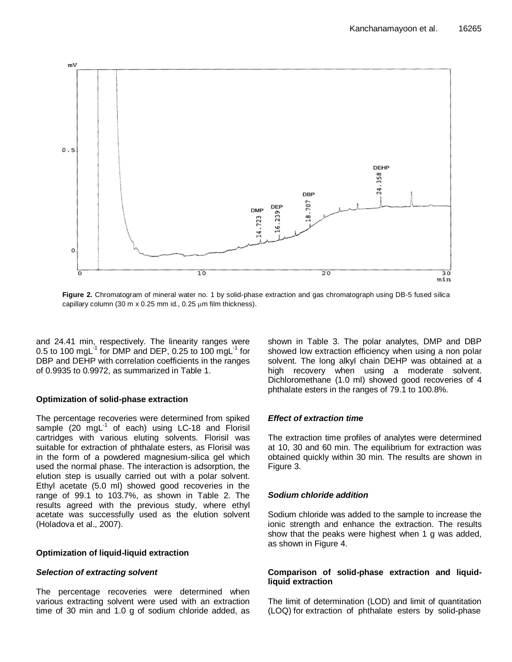

**Figure 2.** Chromatogram of mineral water no. 1 by solid-phase extraction and gas chromatograph using DB-5 fused silica capillary column (30 m x 0.25 mm id., 0.25  $\mu$ m film thickness).

and 24.41 min, respectively. The linearity ranges were 0.5 to 100 mgL $^{-1}$  for DMP and DEP, 0.25 to 100 mgL $^{-1}$  for DBP and DEHP with correlation coefficients in the ranges of 0.9935 to 0.9972, as summarized in Table 1.

## **Optimization of solid-phase extraction**

The percentage recoveries were determined from spiked sample (20  $mgL<sup>-1</sup>$  of each) using LC-18 and Florisil cartridges with various eluting solvents. Florisil was suitable for extraction of phthalate esters, as Florisil was in the form of a powdered magnesium-silica gel which used the normal phase. The interaction is adsorption, the elution step is usually carried out with a polar solvent. Ethyl acetate (5.0 ml) showed good recoveries in the range of 99.1 to 103.7%, as shown in Table 2. The results agreed with the previous study, where ethyl acetate was successfully used as the elution solvent (Holadova et al., 2007).

## **Optimization of liquid-liquid extraction**

## *Selection of extracting solvent*

The percentage recoveries were determined when various extracting solvent were used with an extraction time of 30 min and 1.0 g of sodium chloride added, as shown in Table 3. The polar analytes, DMP and DBP showed low extraction efficiency when using a non polar solvent. The long alkyl chain DEHP was obtained at a high recovery when using a moderate solvent. Dichloromethane (1.0 ml) showed good recoveries of 4 phthalate esters in the ranges of 79.1 to 100.8%.

## *Effect of extraction time*

The extraction time profiles of analytes were determined at 10, 30 and 60 min. The equilibrium for extraction was obtained quickly within 30 min. The results are shown in Figure 3.

## *Sodium chloride addition*

Sodium chloride was added to the sample to increase the ionic strength and enhance the extraction. The results show that the peaks were highest when 1 g was added, as shown in Figure 4.

## **Comparison of solid-phase extraction and liquidliquid extraction**

The limit of determination (LOD) and limit of quantitation (LOQ) for extraction of phthalate esters by solid-phase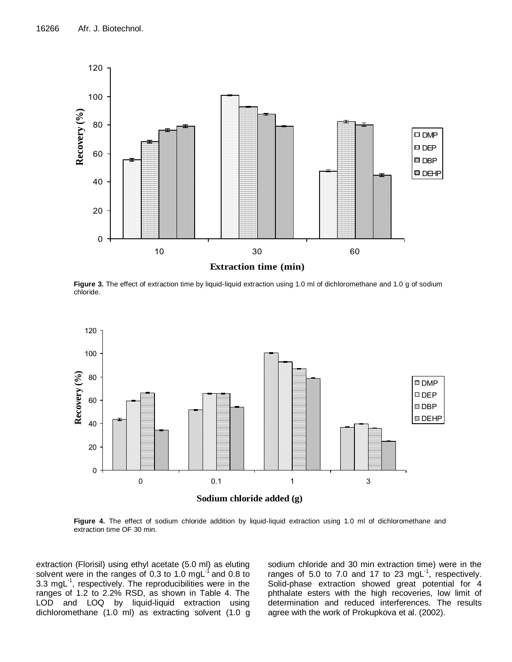

**Figure 3.** The effect of extraction time by liquid-liquid extraction using 1.0 ml of dichloromethane and 1.0 g of sodium chloride.



**Figure 4.** The effect of sodium chloride addition by liquid-liquid extraction using 1.0 ml of dichloromethane and extraction time OF 30 min.

extraction (Florisil) using ethyl acetate (5.0 ml) as eluting solvent were in the ranges of 0.3 to 1.0 mgL $^{-1}$  and 0.8 to 3.3 mgL-1 , respectively. The reproducibilities were in the ranges of 1.2 to 2.2% RSD, as shown in Table 4. The LOD and LOQ by liquid-liquid extraction using dichloromethane (1.0 ml) as extracting solvent (1.0 g

sodium chloride and 30 min extraction time) were in the ranges of 5.0 to 7.0 and 17 to 23 mgL $^{-1}$ , respectively. Solid-phase extraction showed great potential for 4 phthalate esters with the high recoveries, low limit of determination and reduced interferences. The results agree with the work of Prokupkova et al. (2002).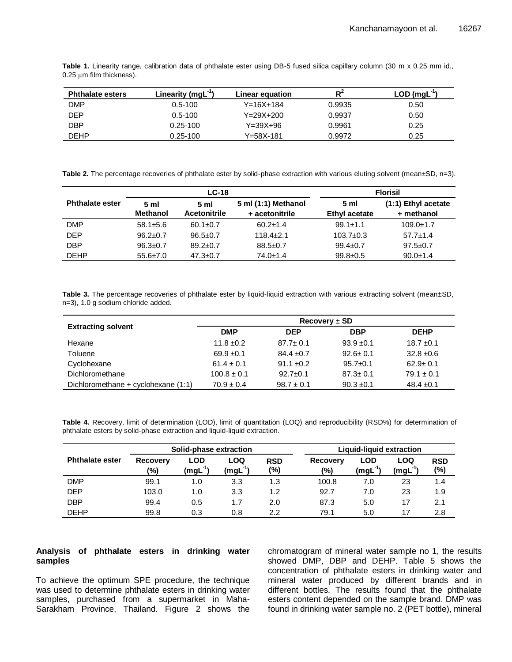| <b>Phthalate esters</b> | Linearity (mgL $^{-1}$ ) | Linear equation | $R^2$  | $LOD$ (mgL <sup>-1</sup> ) |
|-------------------------|--------------------------|-----------------|--------|----------------------------|
| <b>DMP</b>              | $0.5 - 100$              | $Y = 16X + 184$ | 0.9935 | 0.50                       |
| <b>DEP</b>              | $0.5 - 100$              | $Y = 29X + 200$ | 0.9937 | 0.50                       |
| <b>DBP</b>              | $0.25 - 100$             | $Y = 39X + 96$  | 0.9961 | 0.25                       |
| <b>DEHP</b>             | $0.25 - 100$             | Y=58X-181       | 0.9972 | 0.25                       |

**Table 1.** Linearity range, calibration data of phthalate ester using DB-5 fused silica capillary column (30 m x 0.25 mm id.,  $0.25 \mu m$  film thickness).

Table 2. The percentage recoveries of phthalate ester by solid-phase extraction with various eluting solvent (mean±SD, n=3).

|                        |                         | $LC-18$                               |                                       | <b>Florisil</b>       |                                   |  |
|------------------------|-------------------------|---------------------------------------|---------------------------------------|-----------------------|-----------------------------------|--|
| <b>Phthalate ester</b> | 5 ml<br><b>Methanol</b> | 5 <sub>m</sub><br><b>Acetonitrile</b> | 5 ml (1:1) Methanol<br>+ acetonitrile | 5 ml<br>Ethyl acetate | (1:1) Ethyl acetate<br>+ methanol |  |
| <b>DMP</b>             | $58.1 + 5.6$            | $60.1 \pm 0.7$                        | $60.2 \pm 1.4$                        | $99.1 \pm 1.1$        | $109.0 + 1.7$                     |  |
| <b>DEP</b>             | $96.2 \pm 0.7$          | $96.5 \pm 0.7$                        | $118.4 \pm 2.1$                       | $103.7 \pm 0.3$       | $57.7 \pm 1.4$                    |  |
| <b>DBP</b>             | $96.3 \pm 0.7$          | $89.2 \pm 0.7$                        | $88.5 \pm 0.7$                        | $99.4 \pm 0.7$        | $97.5 \pm 0.7$                    |  |
| <b>DEHP</b>            | $55.6 \pm 7.0$          | $47.3 \pm 0.7$                        | $74.0 \pm 1.4$                        | $99.8 + 0.5$          | $90.0 \pm 1.4$                    |  |

Table 3. The percentage recoveries of phthalate ester by liquid-liquid extraction with various extracting solvent (mean±SD, n=3), 1.0 g sodium chloride added.

|                                     | Recovery $\pm$ SD |                |                |                |  |  |  |
|-------------------------------------|-------------------|----------------|----------------|----------------|--|--|--|
| <b>Extracting solvent</b>           | <b>DMP</b>        | <b>DEP</b>     | <b>DBP</b>     | <b>DEHP</b>    |  |  |  |
| Hexane                              | $11.8 \pm 0.2$    | $87.7 \pm 0.1$ | $93.9 \pm 0.1$ | $18.7 \pm 0.1$ |  |  |  |
| Toluene                             | $69.9 \pm 0.1$    | $84.4 \pm 0.7$ | $92.6 \pm 0.1$ | $32.8 \pm 0.6$ |  |  |  |
| Cyclohexane                         | $61.4 \pm 0.1$    | $91.1 \pm 0.2$ | $95.7 \pm 0.1$ | $62.9 \pm 0.1$ |  |  |  |
| Dichloromethane                     | $100.8 \pm 0.1$   | $92.7 \pm 0.1$ | $87.3 \pm 0.1$ | $79.1 \pm 0.1$ |  |  |  |
| Dichloromethane + cyclohexane (1:1) | $70.9 \pm 0.4$    | $98.7 \pm 0.1$ | $90.3 \pm 0.1$ | $48.4 \pm 0.1$ |  |  |  |

**Table 4.** Recovery, limit of determination (LOD), limit of quantitation (LOQ) and reproducibility (RSD%) for determination of phthalate esters by solid-phase extraction and liquid-liquid extraction.

|                        | Solid-phase extraction |                    |                  |                   | Liquid-liquid extraction |                    |                       |                   |
|------------------------|------------------------|--------------------|------------------|-------------------|--------------------------|--------------------|-----------------------|-------------------|
| <b>Phthalate ester</b> | Recovery<br>$(\%)$     | LOD<br>-11<br>(mgL | LOQ<br>$(mgL-1)$ | <b>RSD</b><br>(%) | <b>Recoverv</b><br>(%)   | LOD<br>$(mgl^{-1}$ | LOQ<br>(mgL $^{-1}$ ) | <b>RSD</b><br>(%) |
| <b>DMP</b>             | 99.1                   | 1.0                | 3.3              | 1.3               | 100.8                    | 7.0                | 23                    | 1.4               |
| <b>DEP</b>             | 103.0                  | 1.0                | 3.3              | 1.2               | 92.7                     | 7.0                | 23                    | 1.9               |
| <b>DBP</b>             | 99.4                   | 0.5                | 1.7              | 2.0               | 87.3                     | 5.0                | 17                    | 2.1               |
| <b>DEHP</b>            | 99.8                   | 0.3                | 0.8              | 2.2               | 79.1                     | 5.0                | 17                    | 2.8               |

#### **Analysis of phthalate esters in drinking water samples**

To achieve the optimum SPE procedure, the technique was used to determine phthalate esters in drinking water samples, purchased from a supermarket in Maha-Sarakham Province, Thailand. Figure 2 shows the chromatogram of mineral water sample no 1, the results showed DMP, DBP and DEHP. Table 5 shows the concentration of phthalate esters in drinking water and mineral water produced by different brands and in different bottles. The results found that the phthalate esters content depended on the sample brand. DMP was found in drinking water sample no. 2 (PET bottle), mineral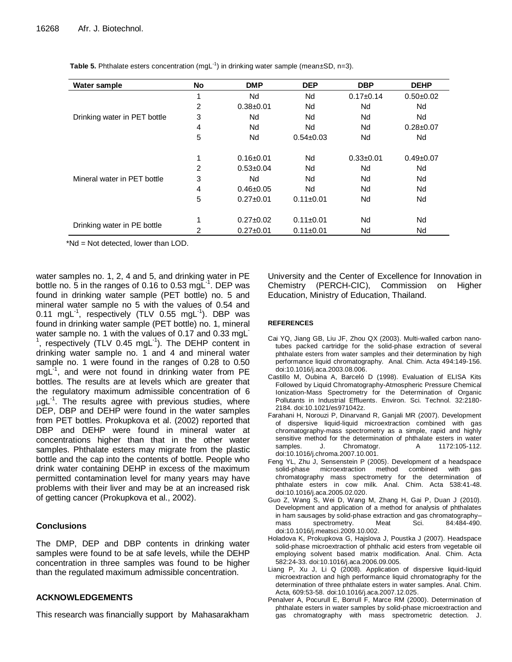| Water sample                 | <b>No</b> | <b>DMP</b>      | <b>DEP</b>      | <b>DBP</b>  | <b>DEHP</b>     |
|------------------------------|-----------|-----------------|-----------------|-------------|-----------------|
|                              | 4         | Nd              | Nd              | $0.17+0.14$ | $0.50 + 0.02$   |
|                              | 2         | $0.38 + 0.01$   | Nd              | Nd          | Nd              |
| Drinking water in PET bottle | 3         | Nd              | Nd              | Nd          | Nd              |
|                              | 4         | Nd              | Nd              | Nd          | $0.28 \pm 0.07$ |
|                              | 5         | Nd              | $0.54 \pm 0.03$ | Nd          | Nd              |
|                              | 1         | $0.16 + 0.01$   | Nd              | $0.33+0.01$ | $0.49 + 0.07$   |
|                              | 2         | $0.53 + 0.04$   | Nd              | Nd          | Nd              |
| Mineral water in PET bottle  | 3         | Nd              | Nd              | Nd          | Nd              |
|                              | 4         | $0.46 \pm 0.05$ | Nd              | Nd          | Nd              |
|                              | 5         | $0.27 + 0.01$   | $0.11 \pm 0.01$ | Nd          | Nd              |
|                              | 4         | $0.27 + 0.02$   | $0.11 \pm 0.01$ | Nd          | Nd              |
| Drinking water in PE bottle  | 2         | $0.27 + 0.01$   | $0.11 \pm 0.01$ | Nd          | Nd              |

**Table 5.** Phthalate esters concentration  $(mgl^{-1})$  in drinking water sample (mean $\pm$ SD, n=3).

\*Nd = Not detected, lower than LOD.

water samples no. 1, 2, 4 and 5, and drinking water in PE bottle no. 5 in the ranges of 0.16 to 0.53 mgL $^{-1}$ . DEP was found in drinking water sample (PET bottle) no. 5 and mineral water sample no 5 with the values of 0.54 and 0.11 mgL $^{-1}$ , respectively (TLV 0.55 mgL $^{-1}$ ). DBP was found in drinking water sample (PET bottle) no. 1, mineral water sample no. 1 with the values of 0.17 and 0.33 mgL 1 , respectively (TLV 0.45 mgL<sup>-1</sup>). The DEHP content in drinking water sample no. 1 and 4 and mineral water sample no. 1 were found in the ranges of 0.28 to 0.50 mgL<sup>-1</sup>, and were not found in drinking water from PE bottles. The results are at levels which are greater that the regulatory maximum admissible concentration of 6  $\mu$ gL<sup>-1</sup>. The results agree with previous studies, where DEP, DBP and DEHP were found in the water samples from PET bottles. Prokupkova et al. (2002) reported that DBP and DEHP were found in mineral water at concentrations higher than that in the other water samples. Phthalate esters may migrate from the plastic bottle and the cap into the contents of bottle. People who drink water containing DEHP in excess of the maximum permitted contamination level for many years may have problems with their liver and may be at an increased risk of getting cancer (Prokupkova et al., 2002).

## **Conclusions**

The DMP, DEP and DBP contents in drinking water samples were found to be at safe levels, while the DEHP concentration in three samples was found to be higher than the regulated maximum admissible concentration.

## **ACKNOWLEDGEMENTS**

This research was financially support by Mahasarakham

University and the Center of Excellence for Innovation in Chemistry (PERCH-CIC), Commission on Higher Education, Ministry of Education, Thailand.

#### **REFERENCES**

- Cai YQ, Jiang GB, Liu JF, Zhou QX (2003). Multi-walled carbon nanotubes packed cartridge for the solid-phase extraction of several phthalate esters from water samples and their determination by high performance liquid chromatography. Anal. Chim. Acta 494:149-156. [doi:10.1016/j.aca.2003.08.006.](http://dx.doi.org/10.1016/j.aca.2003.08.006)
- Castillo M, Oubina A, Barceló D (1998). [Evaluation of ELISA Kits](http://pubs.acs.org/doi/abs/10.1021/es971042z?prevSearch=%255Bauthor%253A%2BM.Castillo%255D&searchHistoryKey=)  [Followed by Liquid Chromatography-Atmospheric Pressure Chemical](http://pubs.acs.org/doi/abs/10.1021/es971042z?prevSearch=%255Bauthor%253A%2BM.Castillo%255D&searchHistoryKey=)  [Ionization-Mass Spectrometry for the Determination of Organic](http://pubs.acs.org/doi/abs/10.1021/es971042z?prevSearch=%255Bauthor%253A%2BM.Castillo%255D&searchHistoryKey=)  [Pollutants in Industrial Effluents.](http://pubs.acs.org/doi/abs/10.1021/es971042z?prevSearch=%255Bauthor%253A%2BM.Castillo%255D&searchHistoryKey=) Environ. Sci. Technol. 32:2180- 2184. doi:10.1021/es971042z.
- Farahani H, Norouzi P, Dinarvand R, Ganjali MR (2007). Development of dispersive liquid-liquid microextraction combined with gas chromatography-mass spectrometry as a simple, rapid and highly sensitive method for the determination of phthalate esters in water<br>samples. J. Chromatogr. A 1172:105-112. samples. J. Chromatogr. A 1172:105-112. [doi:10.1016/j.chroma.2007.10.001.](http://dx.doi.org/10.1016/j.chroma.2007.10.001)
- Feng YL, Zhu J, Sensenstein P (2005). Development of a headspace solid-phase microextraction method combined with gas chromatography mass spectrometry for the determination of phthalate esters in cow milk. Anal. Chim. Acta 538:41-48. [doi:10.1016/j.aca.2005.02.020.](http://dx.doi.org/10.1016/j.aca.2005.02.020)
- Guo Z, Wang S, Wei D, Wang M, Zhang H, Gai P, Duan J (2010). Development and application of a method for analysis of phthalates in ham sausages by solid-phase extraction and gas chromatography– mass spectrometry. [doi:10.1016/j.meatsci.2009.10.002.](http://dx.doi.org/10.1016/j.meatsci.2009.10.002)
- Holadova K, Prokupkova G, Hajslova J, Poustka J (2007). Headspace solid-phase microextraction of phthalic acid esters from vegetable oil employing solvent based matrix modification. Anal. Chim. Acta 582:24-33. [doi:10.1016/j.aca.2006.09.005.](http://dx.doi.org/10.1016/j.aca.2006.09.005)
- Liang P, Xu J, Li Q (2008). Application of dispersive liquid-liquid microextraction and high performance liquid chromatography for the determination of three phthalate esters in water samples. Anal. Chim. Acta, 609:53-58[. doi:10.1016/j.aca.2007.12.025.](http://dx.doi.org/10.1016/j.aca.2007.12.025)
- Penalver A, Pocurull E, Borrull F, Marce RM (2000). Determination of phthalate esters in water samples by solid-phase microextraction and gas chromatography with mass spectrometric detection. J.